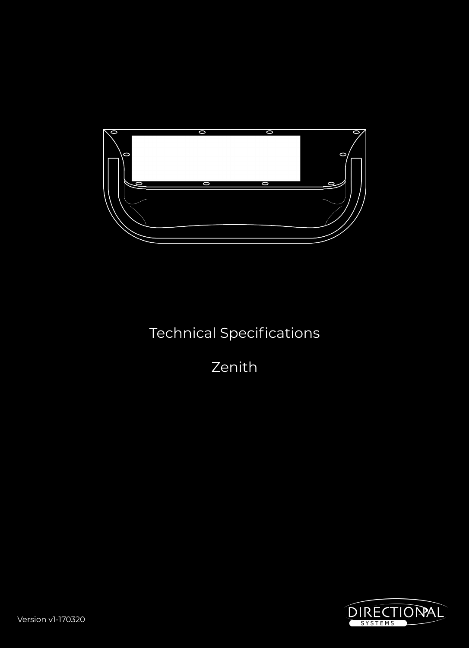

# Technical Specifications

Zenith

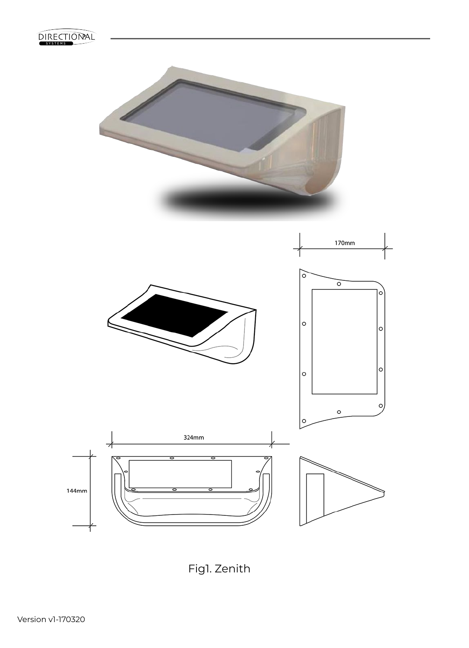

Fig1. Zenith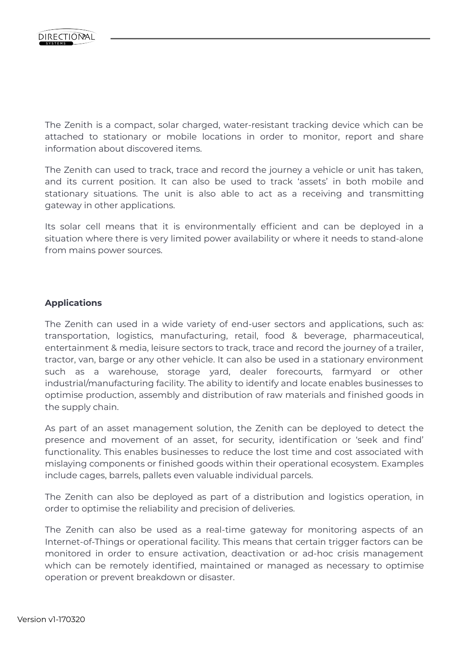The Zenith is a compact, solar charged, water-resistant tracking device which can be attached to stationary or mobile locations in order to monitor, report and share information about discovered items.

The Zenith can used to track, trace and record the journey a vehicle or unit has taken, and its current position. It can also be used to track 'assets' in both mobile and stationary situations. The unit is also able to act as a receiving and transmitting gateway in other applications.

Its solar cell means that it is environmentally efficient and can be deployed in a situation where there is very limited power availability or where it needs to stand-alone from mains power sources.

#### **Applications**

The Zenith can used in a wide variety of end-user sectors and applications, such as: transportation, logistics, manufacturing, retail, food & beverage, pharmaceutical, entertainment & media, leisure sectors to track, trace and record the journey of a trailer, tractor, van, barge or any other vehicle. It can also be used in a stationary environment such as a warehouse, storage yard, dealer forecourts, farmyard or other industrial/manufacturing facility. The ability to identify and locate enables businesses to optimise production, assembly and distribution of raw materials and finished goods in the supply chain.

As part of an asset management solution, the Zenith can be deployed to detect the presence and movement of an asset, for security, identification or 'seek and find' functionality. This enables businesses to reduce the lost time and cost associated with mislaying components or finished goods within their operational ecosystem. Examples include cages, barrels, pallets even valuable individual parcels.

The Zenith can also be deployed as part of a distribution and logistics operation, in order to optimise the reliability and precision of deliveries.

The Zenith can also be used as a real-time gateway for monitoring aspects of an Internet-of-Things or operational facility. This means that certain trigger factors can be monitored in order to ensure activation, deactivation or ad-hoc crisis management which can be remotely identified, maintained or managed as necessary to optimise operation or prevent breakdown or disaster.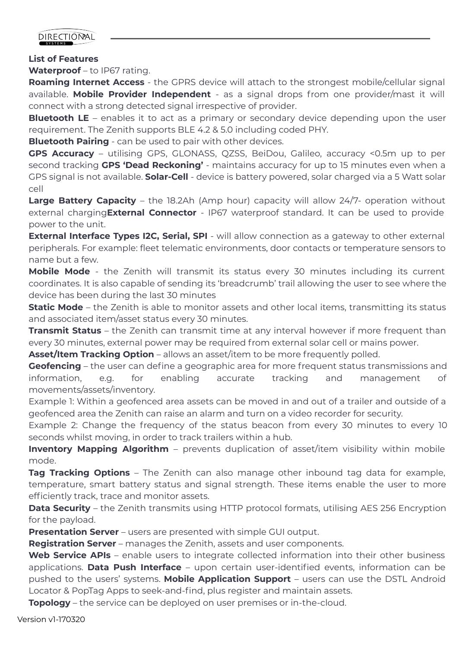

#### **List of Features**

Waterproof - to IP67 rating.

**Roaming Internet Access** - the GPRS device will attach to the strongest mobile/cellular signal available. **Mobile Provider Independent** - as a signal drops from one provider/mast it will connect with a strong detected signal irrespective of provider.

**Bluetooth LE** – enables it to act as a primary or secondary device depending upon the user requirement. The Zenith supports BLE 4.2 & 5.0 including coded PHY.

**Bluetooth Pairing** - can be used to pair with other devices.

**GPS Accuracy** – utilising GPS, GLONASS, QZSS, BeiDou, Galileo, accuracy <0.5m up to per second tracking **GPS 'Dead Reckoning'** - maintains accuracy for up to 15 minutes even when a GPS signal is not available. **Solar-Cell** - device is battery powered, solar charged via a 5 Watt solar cell

**Large Battery Capacity** – the 18.2Ah (Amp hour) capacity will allow 24/7- operation without external charging**External Connector** - IP67 waterproof standard. It can be used to provide power to the unit.

**External Interface Types I2C, Serial, SPI** - will allow connection as a gateway to other external peripherals. For example: fleet telematic environments, door contacts or temperature sensors to name but a few.

**Mobile Mode** - the Zenith will transmit its status every 30 minutes including its current coordinates. It is also capable of sending its 'breadcrumb' trail allowing the user to see where the device has been during the last 30 minutes

**Static Mode** – the Zenith is able to monitor assets and other local items, transmitting its status and associated item/asset status every 30 minutes.

**Transmit Status** – the Zenith can transmit time at any interval however if more frequent than every 30 minutes, external power may be required from external solar cell or mains power.

**Asset/Item Tracking Option** – allows an asset/item to be more frequently polled.

**Geofencing** – the user can define a geographic area for more frequent status transmissions and information, e.g. for enabling accurate tracking and management of movements/assets/inventory.

Example 1: Within a geofenced area assets can be moved in and out of a trailer and outside of a geofenced area the Zenith can raise an alarm and turn on a video recorder for security.

Example 2: Change the frequency of the status beacon from every 30 minutes to every 10 seconds whilst moving, in order to track trailers within a hub.

**Inventory Mapping Algorithm** – prevents duplication of asset/item visibility within mobile mode.

**Tag Tracking Options** – The Zenith can also manage other inbound tag data for example, temperature, smart battery status and signal strength. These items enable the user to more efficiently track, trace and monitor assets.

**Data Security** – the Zenith transmits using HTTP protocol formats, utilising AES 256 Encryption for the payload.

**Presentation Server** – users are presented with simple GUI output.

**Registration Server** – manages the Zenith, assets and user components.

Web Service APIs - enable users to integrate collected information into their other business applications. **Data Push Interface** – upon certain user-identified events, information can be pushed to the users' systems. **Mobile Application Support** – users can use the DSTL Android Locator & PopTag Apps to seek-and-find, plus register and maintain assets.

**Topology** – the service can be deployed on user premises or in-the-cloud.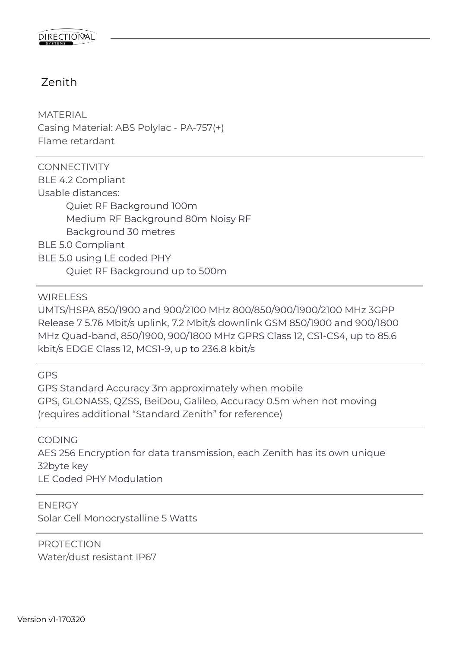### Zenith

**MATERIAL** Casing Material: ABS Polylac - PA-757(+) Flame retardant

**CONNECTIVITY** BLE 4.2 Compliant Usable distances: Quiet RF Background 100m Medium RF Background 80m Noisy RF Background 30 metres BLE 5.0 Compliant BLE 5.0 using LE coded PHY Quiet RF Background up to 500m

WIRFI **FSS** 

UMTS/HSPA 850/1900 and 900/2100 MHz 800/850/900/1900/2100 MHz 3GPP Release 7 5.76 Mbit/s uplink, 7.2 Mbit/s downlink GSM 850/1900 and 900/1800 MHz Quad-band, 850/1900, 900/1800 MHz GPRS Class 12, CS1-CS4, up to 85.6 kbit/s EDGE Class 12, MCS1-9, up to 236.8 kbit/s

GPS

GPS Standard Accuracy 3m approximately when mobile GPS, GLONASS, QZSS, BeiDou, Galileo, Accuracy 0.5m when not moving (requires additional "Standard Zenith" for reference)

CODING

AES 256 Encryption for data transmission, each Zenith has its own unique 32byte key LE Coded PHY Modulation

ENERGY

Solar Cell Monocrystalline 5 Watts

PROTECTION Water/dust resistant IP67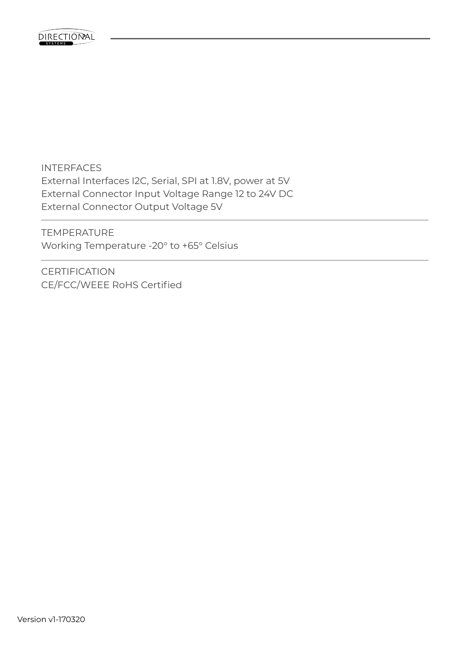

INTERFACES External Interfaces I2C, Serial, SPI at 1.8V, power at 5V External Connector Input Voltage Range 12 to 24V DC External Connector Output Voltage 5V

TEMPERATURE Working Temperature -20° to +65° Celsius

**CERTIFICATION** CE/FCC/WEEE RoHS Certified